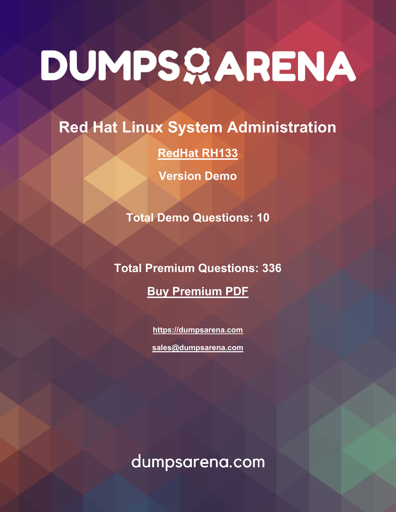# DUMPSQARENA

**Red Hat Linux System Administration**

**[RedHat RH133](https://dumpsarena.com/exam/rh133/)**

**Version Demo**

**Total Demo Questions: 10**

**Total Premium Questions: 336 [Buy Premium PDF](https://dumpsarena.com/exam/rh133/)**

> **[https://dumpsarena.com](https://dumpsarena.com/) [sales@dumpsarena.com](mailto:sales@dumpsarena.com)**

dumpsarena.com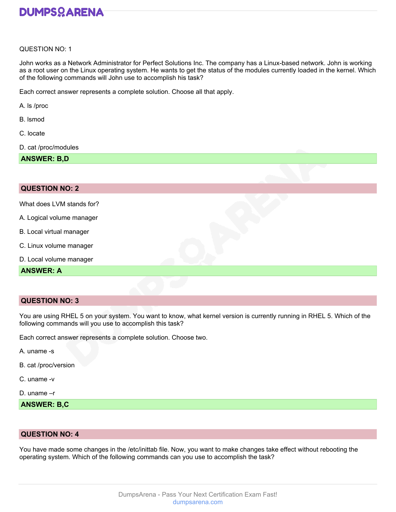

#### QUESTION NO: 1

John works as a Network Administrator for Perfect Solutions Inc. The company has a Linux-based network. John is working as a root user on the Linux operating system. He wants to get the status of the modules currently loaded in the kernel. Which of the following commands will John use to accomplish his task?

Each correct answer represents a complete solution. Choose all that apply.

- A. ls /proc
- B. lsmod
- C. locate
- D. cat /proc/modules

**ANSWER: B,D**

### **QUESTION NO: 2**

What does LVM stands for?

- A. Logical volume manager
- B. Local virtual manager
- C. Linux volume manager
- D. Local volume manager

#### **ANSWER: A**

### **QUESTION NO: 3**

You are using RHEL 5 on your system. You want to know, what kernel version is currently running in RHEL 5. Which of the following commands will you use to accomplish this task?

Each correct answer represents a complete solution. Choose two.

A. uname -s

- B. cat /proc/version
- C. uname -v
- D. uname –r

**ANSWER: B,C**

## **QUESTION NO: 4**

You have made some changes in the /etc/inittab file. Now, you want to make changes take effect without rebooting the operating system. Which of the following commands can you use to accomplish the task?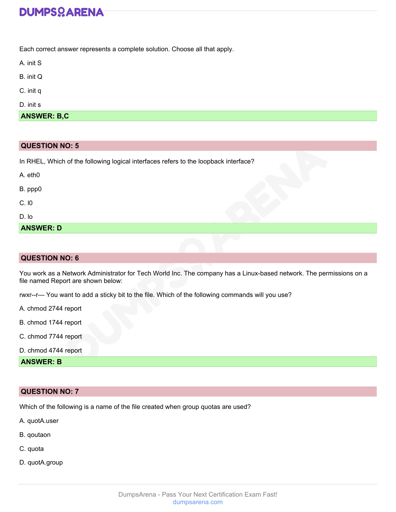# **DUMPSOARENA**

Each correct answer represents a complete solution. Choose all that apply.

| ınıt |  |
|------|--|
|      |  |

B. init Q

C. init q

D. init s

**ANSWER: B,C**

# **QUESTION NO: 5**

In RHEL, Which of the following logical interfaces refers to the loopback interface?

| <b>ANSWER: D</b> |
|------------------|
| D. Io            |
| C.10             |
| B. ppp0          |
| $A.$ eth $0$     |

# **QUESTION NO: 6**

You work as a Network Administrator for Tech World Inc. The company has a Linux-based network. The permissions on a file named Report are shown below:

rwxr--r— You want to add a sticky bit to the file. Which of the following commands will you use?

A. chmod 2744 report

B. chmod 1744 report

C. chmod 7744 report

D. chmod 4744 report

**ANSWER: B**

## **QUESTION NO: 7**

Which of the following is a name of the file created when group quotas are used?

A. quotA.user

- B. qoutaon
- C. quota
- D. quotA.group